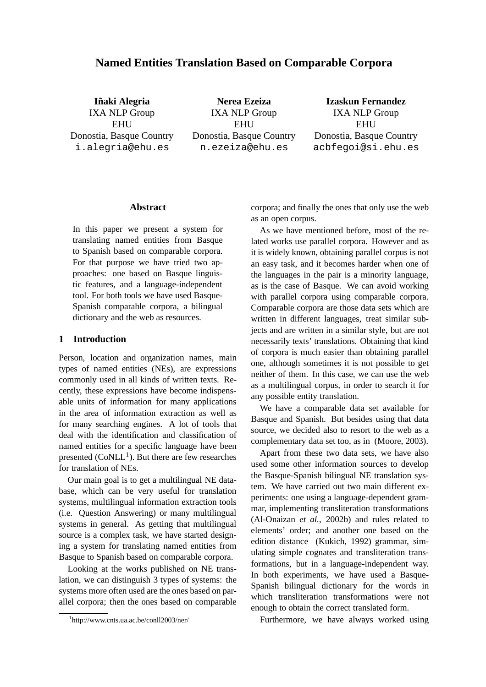# **Named Entities Translation Based on Comparable Corpora**

**Inaki ˜ Alegria** IXA NLP Group **EHU** Donostia, Basque Country i.alegria@ehu.es

**Nerea Ezeiza** IXA NLP Group **EHU** Donostia, Basque Country n.ezeiza@ehu.es

**Izaskun Fernandez** IXA NLP Group **EHU** Donostia, Basque Country acbfegoi@si.ehu.es

#### **Abstract**

In this paper we present a system for translating named entities from Basque to Spanish based on comparable corpora. For that purpose we have tried two approaches: one based on Basque linguistic features, and a language-independent tool. For both tools we have used Basque-Spanish comparable corpora, a bilingual dictionary and the web as resources.

### **1 Introduction**

Person, location and organization names, main types of named entities (NEs), are expressions commonly used in all kinds of written texts. Recently, these expressions have become indispensable units of information for many applications in the area of information extraction as well as for many searching engines. A lot of tools that deal with the identification and classification of named entities for a specific language have been presented  $(CoNLL^1)$ . But there are few researches for translation of NEs.

Our main goal is to get a multilingual NE database, which can be very useful for translation systems, multilingual information extraction tools (i.e. Question Answering) or many multilingual systems in general. As getting that multilingual source is a complex task, we have started designing a system for translating named entities from Basque to Spanish based on comparable corpora.

Looking at the works published on NE translation, we can distinguish 3 types of systems: the systems more often used are the ones based on parallel corpora; then the ones based on comparable

corpora; and finally the ones that only use the web as an open corpus.

As we have mentioned before, most of the related works use parallel corpora. However and as it is widely known, obtaining parallel corpus is not an easy task, and it becomes harder when one of the languages in the pair is a minority language, as is the case of Basque. We can avoid working with parallel corpora using comparable corpora. Comparable corpora are those data sets which are written in different languages, treat similar subjects and are written in a similar style, but are not necessarily texts' translations. Obtaining that kind of corpora is much easier than obtaining parallel one, although sometimes it is not possible to get neither of them. In this case, we can use the web as a multilingual corpus, in order to search it for any possible entity translation.

We have a comparable data set available for Basque and Spanish. But besides using that data source, we decided also to resort to the web as a complementary data set too, as in (Moore, 2003).

Apart from these two data sets, we have also used some other information sources to develop the Basque-Spanish bilingual NE translation system. We have carried out two main different experiments: one using a language-dependent grammar, implementing transliteration transformations (Al-Onaizan *et al.*, 2002b) and rules related to elements' order; and another one based on the edition distance (Kukich, 1992) grammar, simulating simple cognates and transliteration transformations, but in a language-independent way. In both experiments, we have used a Basque-Spanish bilingual dictionary for the words in which transliteration transformations were not enough to obtain the correct translated form.

Furthermore, we have always worked using

<sup>1</sup> http://www.cnts.ua.ac.be/conll2003/ner/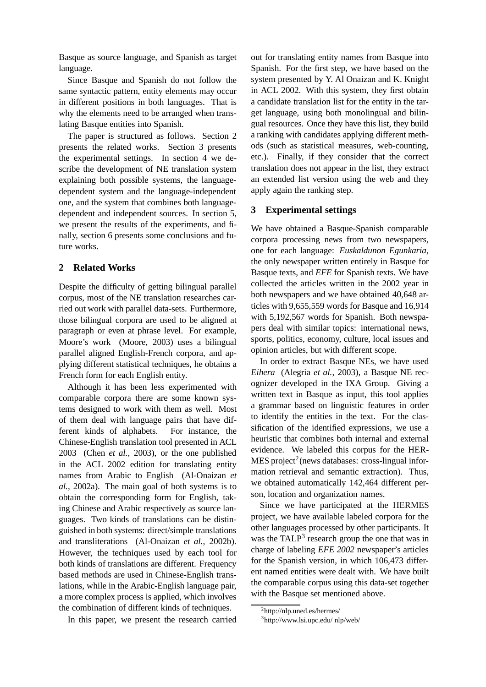Basque as source language, and Spanish as target language.

Since Basque and Spanish do not follow the same syntactic pattern, entity elements may occur in different positions in both languages. That is why the elements need to be arranged when translating Basque entities into Spanish.

The paper is structured as follows. Section 2 presents the related works. Section 3 presents the experimental settings. In section 4 we describe the development of NE translation system explaining both possible systems, the languagedependent system and the language-independent one, and the system that combines both languagedependent and independent sources. In section 5, we present the results of the experiments, and finally, section 6 presents some conclusions and future works.

## **2 Related Works**

Despite the difficulty of getting bilingual parallel corpus, most of the NE translation researches carried out work with parallel data-sets. Furthermore, those bilingual corpora are used to be aligned at paragraph or even at phrase level. For example, Moore's work (Moore, 2003) uses a bilingual parallel aligned English-French corpora, and applying different statistical techniques, he obtains a French form for each English entity.

Although it has been less experimented with comparable corpora there are some known systems designed to work with them as well. Most of them deal with language pairs that have different kinds of alphabets. For instance, the Chinese-English translation tool presented in ACL 2003 (Chen *et al.*, 2003), or the one published in the ACL 2002 edition for translating entity names from Arabic to English (Al-Onaizan *et al.*, 2002a). The main goal of both systems is to obtain the corresponding form for English, taking Chinese and Arabic respectively as source languages. Two kinds of translations can be distinguished in both systems: direct/simple translations and transliterations (Al-Onaizan *et al.*, 2002b). However, the techniques used by each tool for both kinds of translations are different. Frequency based methods are used in Chinese-English translations, while in the Arabic-English language pair, a more complex process is applied, which involves the combination of different kinds of techniques.

In this paper, we present the research carried

out for translating entity names from Basque into Spanish. For the first step, we have based on the system presented by Y. Al Onaizan and K. Knight in ACL 2002. With this system, they first obtain a candidate translation list for the entity in the target language, using both monolingual and bilingual resources. Once they have this list, they build a ranking with candidates applying different methods (such as statistical measures, web-counting, etc.). Finally, if they consider that the correct translation does not appear in the list, they extract an extended list version using the web and they apply again the ranking step.

## **3 Experimental settings**

We have obtained a Basque-Spanish comparable corpora processing news from two newspapers, one for each language: *Euskaldunon Egunkaria*, the only newspaper written entirely in Basque for Basque texts, and *EFE* for Spanish texts. We have collected the articles written in the 2002 year in both newspapers and we have obtained 40,648 articles with 9,655,559 words for Basque and 16,914 with 5,192,567 words for Spanish. Both newspapers deal with similar topics: international news, sports, politics, economy, culture, local issues and opinion articles, but with different scope.

In order to extract Basque NEs, we have used *Eihera* (Alegria *et al.*, 2003), a Basque NE recognizer developed in the IXA Group. Giving a written text in Basque as input, this tool applies a grammar based on linguistic features in order to identify the entities in the text. For the classification of the identified expressions, we use a heuristic that combines both internal and external evidence. We labeled this corpus for the HER-MES project<sup>2</sup> (news databases: cross-lingual information retrieval and semantic extraction). Thus, we obtained automatically 142,464 different person, location and organization names.

Since we have participated at the HERMES project, we have available labeled corpora for the other languages processed by other participants. It was the TALP<sup>3</sup> research group the one that was in charge of labeling *EFE 2002* newspaper's articles for the Spanish version, in which 106,473 different named entities were dealt with. We have built the comparable corpus using this data-set together with the Basque set mentioned above.

<sup>2</sup> http://nlp.uned.es/hermes/

<sup>3</sup> http://www.lsi.upc.edu/ nlp/web/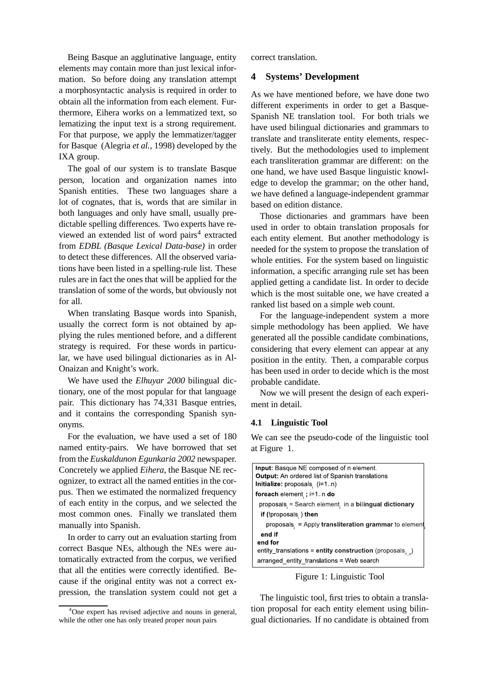Being Basque an agglutinative language, entity elements may contain more than just lexical information. So before doing any translation attempt a morphosyntactic analysis is required in order to obtain all the information from each element. Furthermore, Eihera works on a lemmatized text, so lematizing the input text is a strong requirement. For that purpose, we apply the lemmatizer/tagger for Basque (Alegria *et al.*, 1998) developed by the IXA group.

The goal of our system is to translate Basque person, location and organization names into Spanish entities. These two languages share a lot of cognates, that is, words that are similar in both languages and only have small, usually predictable spelling differences. Two experts have reviewed an extended list of word pairs<sup>4</sup> extracted from *EDBL (Basque Lexical Data-base)* in order to detect these differences. All the observed variations have been listed in a spelling-rule list. These rules are in fact the ones that will be applied for the translation of some of the words, but obviously not for all.

When translating Basque words into Spanish, usually the correct form is not obtained by applying the rules mentioned before, and a different strategy is required. For these words in particular, we have used bilingual dictionaries as in Al-Onaizan and Knight's work.

We have used the *Elhuyar 2000* bilingual dictionary, one of the most popular for that language pair. This dictionary has 74,331 Basque entries, and it contains the corresponding Spanish synonyms.

For the evaluation, we have used a set of 180 named entity-pairs. We have borrowed that set from the *Euskaldunon Egunkaria 2002* newspaper. Concretely we applied *Eihera*, the Basque NE recognizer, to extract all the named entities in the corpus. Then we estimated the normalized frequency of each entity in the corpus, and we selected the most common ones. Finally we translated them manually into Spanish.

In order to carry out an evaluation starting from correct Basque NEs, although the NEs were automatically extracted from the corpus, we verified that all the entities were correctly identified. Because if the original entity was not a correct expression, the translation system could not get a correct translation.

## **4 Systems' Development**

As we have mentioned before, we have done two different experiments in order to get a Basque-Spanish NE translation tool. For both trials we have used bilingual dictionaries and grammars to translate and transliterate entity elements, respectively. But the methodologies used to implement each transliteration grammar are different: on the one hand, we have used Basque linguistic knowledge to develop the grammar; on the other hand, we have defined a language-independent grammar based on edition distance.

Those dictionaries and grammars have been used in order to obtain translation proposals for each entity element. But another methodology is needed for the system to propose the translation of whole entities. For the system based on linguistic information, a specific arranging rule set has been applied getting a candidate list. In order to decide which is the most suitable one, we have created a ranked list based on a simple web count.

For the language-independent system a more simple methodology has been applied. We have generated all the possible candidate combinations, considering that every element can appear at any position in the entity. Then, a comparable corpus has been used in order to decide which is the most probable candidate.

Now we will present the design of each experiment in detail.

#### **4.1 Linguistic Tool**

We can see the pseudo-code of the linguistic tool at Figure 1.

| <b>Input:</b> Basque NE composed of n element.                 |
|----------------------------------------------------------------|
| <b>Output:</b> An ordered list of Spanish translations         |
| Initialize: proposals, $(i=1n)$                                |
| foreach element, ; i=1. n do                                   |
| proposals = Search element in a bilingual dictionary           |
| if (!proposals, ) then                                         |
| proposals = Apply transliteration grammar to element           |
| end if                                                         |
| end for                                                        |
| entity_translations = entity construction (proposals, $\Box$ ) |
| arranged entity translations = Web search                      |

Figure 1: Linguistic Tool

The linguistic tool, first tries to obtain a translation proposal for each entity element using bilingual dictionaries. If no candidate is obtained from

<sup>&</sup>lt;sup>4</sup>One expert has revised adjective and nouns in general, while the other one has only treated proper noun pairs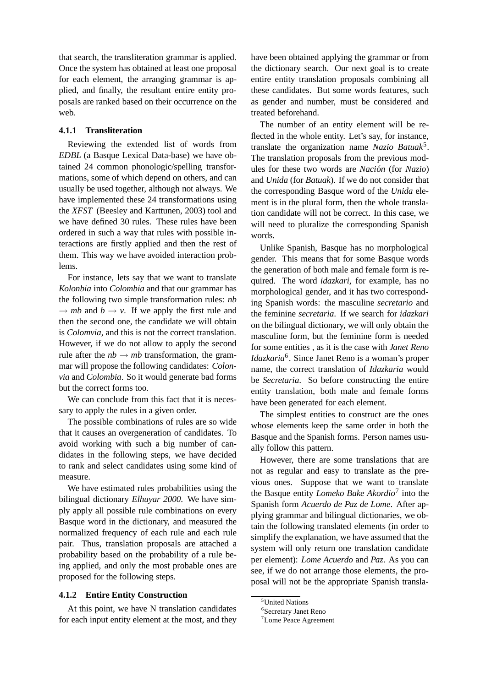that search, the transliteration grammar is applied. Once the system has obtained at least one proposal for each element, the arranging grammar is applied, and finally, the resultant entire entity proposals are ranked based on their occurrence on the web.

#### **4.1.1 Transliteration**

Reviewing the extended list of words from *EDBL* (a Basque Lexical Data-base) we have obtained 24 common phonologic/spelling transformations, some of which depend on others, and can usually be used together, although not always. We have implemented these 24 transformations using the *XFST* (Beesley and Karttunen, 2003) tool and we have defined 30 rules. These rules have been ordered in such a way that rules with possible interactions are firstly applied and then the rest of them. This way we have avoided interaction problems.

For instance, lets say that we want to translate *Kolonbia* into *Colombia* and that our grammar has the following two simple transformation rules: *nb*  $\rightarrow mb$  and  $b \rightarrow v$ . If we apply the first rule and then the second one, the candidate we will obtain is *Colomvia*, and this is not the correct translation. However, if we do not allow to apply the second rule after the  $nb \rightarrow mb$  transformation, the grammar will propose the following candidates: *Colonvia* and *Colombia*. So it would generate bad forms but the correct forms too.

We can conclude from this fact that it is necessary to apply the rules in a given order.

The possible combinations of rules are so wide that it causes an overgeneration of candidates. To avoid working with such a big number of candidates in the following steps, we have decided to rank and select candidates using some kind of measure.

We have estimated rules probabilities using the bilingual dictionary *Elhuyar 2000*. We have simply apply all possible rule combinations on every Basque word in the dictionary, and measured the normalized frequency of each rule and each rule pair. Thus, translation proposals are attached a probability based on the probability of a rule being applied, and only the most probable ones are proposed for the following steps.

#### **4.1.2 Entire Entity Construction**

At this point, we have N translation candidates for each input entity element at the most, and they have been obtained applying the grammar or from the dictionary search. Our next goal is to create entire entity translation proposals combining all these candidates. But some words features, such as gender and number, must be considered and treated beforehand.

The number of an entity element will be reflected in the whole entity. Let's say, for instance, translate the organization name *Nazio Batuak*<sup>5</sup> . The translation proposals from the previous modules for these two words are *Nacion´* (for *Nazio*) and *Unida* (for *Batuak*). If we do not consider that the corresponding Basque word of the *Unida* element is in the plural form, then the whole translation candidate will not be correct. In this case, we will need to pluralize the corresponding Spanish words.

Unlike Spanish, Basque has no morphological gender. This means that for some Basque words the generation of both male and female form is required. The word *idazkari*, for example, has no morphological gender, and it has two corresponding Spanish words: the masculine *secretario* and the feminine *secretaria*. If we search for *idazkari* on the bilingual dictionary, we will only obtain the masculine form, but the feminine form is needed for some entities , as it is the case with *Janet Reno Idazkaria*<sup>6</sup> . Since Janet Reno is a woman's proper name, the correct translation of *Idazkaria* would be *Secretaria*. So before constructing the entire entity translation, both male and female forms have been generated for each element.

The simplest entities to construct are the ones whose elements keep the same order in both the Basque and the Spanish forms. Person names usually follow this pattern.

However, there are some translations that are not as regular and easy to translate as the previous ones. Suppose that we want to translate the Basque entity *Lomeko Bake Akordio*<sup>7</sup> into the Spanish form *Acuerdo de Paz de Lome*. After applying grammar and bilingual dictionaries, we obtain the following translated elements (in order to simplify the explanation, we have assumed that the system will only return one translation candidate per element): *Lome Acuerdo* and *Paz*. As you can see, if we do not arrange those elements, the proposal will not be the appropriate Spanish transla-

<sup>5</sup>United Nations

<sup>6</sup> Secretary Janet Reno

<sup>7</sup>Lome Peace Agreement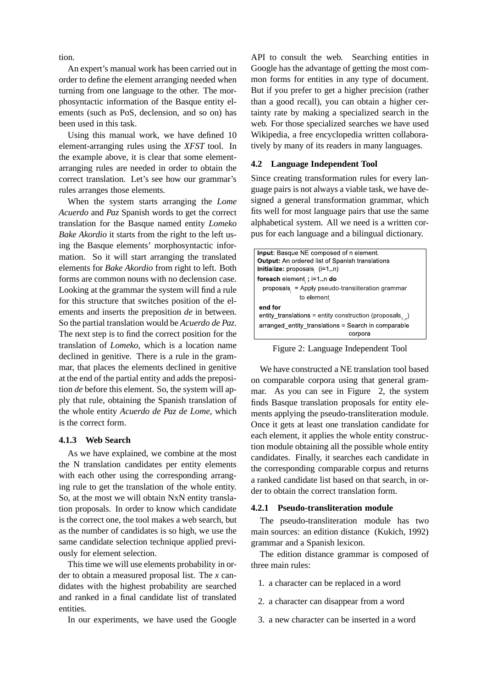tion.

An expert's manual work has been carried out in order to define the element arranging needed when turning from one language to the other. The morphosyntactic information of the Basque entity elements (such as PoS, declension, and so on) has been used in this task.

Using this manual work, we have defined 10 element-arranging rules using the *XFST* tool. In the example above, it is clear that some elementarranging rules are needed in order to obtain the correct translation. Let's see how our grammar's rules arranges those elements.

When the system starts arranging the *Lome Acuerdo* and *Paz* Spanish words to get the correct translation for the Basque named entity *Lomeko Bake Akordio* it starts from the right to the left using the Basque elements' morphosyntactic information. So it will start arranging the translated elements for *Bake Akordio* from right to left. Both forms are common nouns with no declension case. Looking at the grammar the system will find a rule for this structure that switches position of the elements and inserts the preposition *de* in between. So the partial translation would be *Acuerdo de Paz*. The next step is to find the correct position for the translation of *Lomeko*, which is a location name declined in genitive. There is a rule in the grammar, that places the elements declined in genitive at the end of the partial entity and adds the preposition *de* before this element. So, the system will apply that rule, obtaining the Spanish translation of the whole entity *Acuerdo de Paz de Lome*, which is the correct form.

#### **4.1.3 Web Search**

As we have explained, we combine at the most the N translation candidates per entity elements with each other using the corresponding arranging rule to get the translation of the whole entity. So, at the most we will obtain NxN entity translation proposals. In order to know which candidate is the correct one, the tool makes a web search, but as the number of candidates is so high, we use the same candidate selection technique applied previously for element selection.

This time we will use elements probability in order to obtain a measured proposal list. The *x* candidates with the highest probability are searched and ranked in a final candidate list of translated entities.

In our experiments, we have used the Google

API to consult the web. Searching entities in Google has the advantage of getting the most common forms for entities in any type of document. But if you prefer to get a higher precision (rather than a good recall), you can obtain a higher certainty rate by making a specialized search in the web. For those specialized searches we have used Wikipedia, a free encyclopedia written collaboratively by many of its readers in many languages.

### **4.2 Language Independent Tool**

Since creating transformation rules for every language pairs is not always a viable task, we have designed a general transformation grammar, which fits well for most language pairs that use the same alphabetical system. All we need is a written corpus for each language and a bilingual dictionary.

| <b>Input:</b> Basque NE composed of n element.                 |  |  |  |
|----------------------------------------------------------------|--|--|--|
| <b>Output:</b> An ordered list of Spanish translations         |  |  |  |
| Initialize: proposals, $(i=1n)$                                |  |  |  |
| foreach element <sub>i</sub> ; i=1. n do                       |  |  |  |
| proposals = Apply pseudo-transliteration grammar               |  |  |  |
| to element                                                     |  |  |  |
| end for                                                        |  |  |  |
| entity_translations = entity construction (proposals, $_{1}$ ) |  |  |  |
| arranged entity translations = Search in comparable            |  |  |  |
| corpora                                                        |  |  |  |

Figure 2: Language Independent Tool

We have constructed a NE translation tool based on comparable corpora using that general grammar. As you can see in Figure 2, the system finds Basque translation proposals for entity elements applying the pseudo-transliteration module. Once it gets at least one translation candidate for each element, it applies the whole entity construction module obtaining all the possible whole entity candidates. Finally, it searches each candidate in the corresponding comparable corpus and returns a ranked candidate list based on that search, in order to obtain the correct translation form.

#### **4.2.1 Pseudo-transliteration module**

The pseudo-transliteration module has two main sources: an edition distance (Kukich, 1992) grammar and a Spanish lexicon.

The edition distance grammar is composed of three main rules:

- 1. a character can be replaced in a word
- 2. a character can disappear from a word
- 3. a new character can be inserted in a word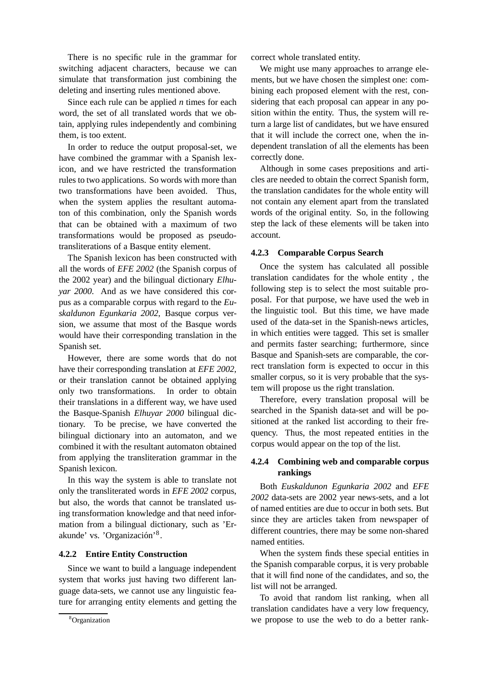There is no specific rule in the grammar for switching adjacent characters, because we can simulate that transformation just combining the deleting and inserting rules mentioned above.

Since each rule can be applied *n* times for each word, the set of all translated words that we obtain, applying rules independently and combining them, is too extent.

In order to reduce the output proposal-set, we have combined the grammar with a Spanish lexicon, and we have restricted the transformation rules to two applications. So words with more than two transformations have been avoided. Thus, when the system applies the resultant automaton of this combination, only the Spanish words that can be obtained with a maximum of two transformations would be proposed as pseudotransliterations of a Basque entity element.

The Spanish lexicon has been constructed with all the words of *EFE 2002* (the Spanish corpus of the 2002 year) and the bilingual dictionary *Elhuyar 2000*. And as we have considered this corpus as a comparable corpus with regard to the *Euskaldunon Egunkaria 2002*, Basque corpus version, we assume that most of the Basque words would have their corresponding translation in the Spanish set.

However, there are some words that do not have their corresponding translation at *EFE 2002*, or their translation cannot be obtained applying only two transformations. In order to obtain their translations in a different way, we have used the Basque-Spanish *Elhuyar 2000* bilingual dictionary. To be precise, we have converted the bilingual dictionary into an automaton, and we combined it with the resultant automaton obtained from applying the transliteration grammar in the Spanish lexicon.

In this way the system is able to translate not only the transliterated words in *EFE 2002* corpus, but also, the words that cannot be translated using transformation knowledge and that need information from a bilingual dictionary, such as 'Erakunde' vs. 'Organización'<sup>8</sup>.

### **4.2.2 Entire Entity Construction**

Since we want to build a language independent system that works just having two different language data-sets, we cannot use any linguistic feature for arranging entity elements and getting the correct whole translated entity.

We might use many approaches to arrange elements, but we have chosen the simplest one: combining each proposed element with the rest, considering that each proposal can appear in any position within the entity. Thus, the system will return a large list of candidates, but we have ensured that it will include the correct one, when the independent translation of all the elements has been correctly done.

Although in some cases prepositions and articles are needed to obtain the correct Spanish form, the translation candidates for the whole entity will not contain any element apart from the translated words of the original entity. So, in the following step the lack of these elements will be taken into account.

### **4.2.3 Comparable Corpus Search**

Once the system has calculated all possible translation candidates for the whole entity , the following step is to select the most suitable proposal. For that purpose, we have used the web in the linguistic tool. But this time, we have made used of the data-set in the Spanish-news articles, in which entities were tagged. This set is smaller and permits faster searching; furthermore, since Basque and Spanish-sets are comparable, the correct translation form is expected to occur in this smaller corpus, so it is very probable that the system will propose us the right translation.

Therefore, every translation proposal will be searched in the Spanish data-set and will be positioned at the ranked list according to their frequency. Thus, the most repeated entities in the corpus would appear on the top of the list.

## **4.2.4 Combining web and comparable corpus rankings**

Both *Euskaldunon Egunkaria 2002* and *EFE 2002* data-sets are 2002 year news-sets, and a lot of named entities are due to occur in both sets. But since they are articles taken from newspaper of different countries, there may be some non-shared named entities.

When the system finds these special entities in the Spanish comparable corpus, it is very probable that it will find none of the candidates, and so, the list will not be arranged.

To avoid that random list ranking, when all translation candidates have a very low frequency, we propose to use the web to do a better rank-

<sup>8</sup>Organization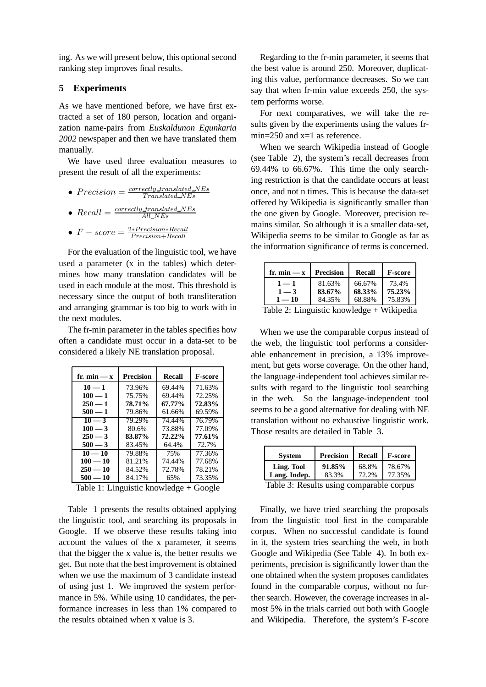ing. As we will present below, this optional second ranking step improves final results.

## **5 Experiments**

As we have mentioned before, we have first extracted a set of 180 person, location and organization name-pairs from *Euskaldunon Egunkaria 2002* newspaper and then we have translated them manually.

We have used three evaluation measures to present the result of all the experiments:

- $Precision = \frac{correctly\_translated\_NEs}{T}$ Translated NEs
- $Recall = \frac{correctly\_translated\_NEs}{All\_NE}$  $All\_NEs$

• 
$$
F-score = \frac{2*Precision*Recall}{Precision+Recall}
$$

For the evaluation of the linguistic tool, we have used a parameter (x in the tables) which determines how many translation candidates will be used in each module at the most. This threshold is necessary since the output of both transliteration and arranging grammar is too big to work with in the next modules.

The fr-min parameter in the tables specifies how often a candidate must occur in a data-set to be considered a likely NE translation proposal.

| fr. $min - x$ | Precision | Recall    | <b>F-score</b> |
|---------------|-----------|-----------|----------------|
| $10 - 1$      | 73.96%    | 69.44%    | 71.63%         |
| $100 - 1$     | 75.75%    | 69.44%    | 72.25%         |
| $250 - 1$     | 78.71%    | 67.77%    | 72.83%         |
| $500 - 1$     | 79.86%    | 61.66%    | 69.59%         |
| $10 - 3$      | 79.29%    | 74.44%    | 76.79%         |
| $100 - 3$     | 80.6%     | 73.88%    | 77.09%         |
| $250 - 3$     | 83.87%    | $72.22\%$ | 77.61%         |
| $500 - 3$     | 83.45%    | 64.4%     | 72.7%          |
| $10 - 10$     | 79.88%    | 75%       | 77.36%         |
| $100 - 10$    | 81.21%    | 74.44%    | 77.68%         |
| $250 - 10$    | 84.52%    | 72.78%    | 78.21%         |
| $500 - 10$    | 84.17%    | 65%       | 73.35%         |

Table 1: Linguistic knowledge + Google

Table 1 presents the results obtained applying the linguistic tool, and searching its proposals in Google. If we observe these results taking into account the values of the x parameter, it seems that the bigger the x value is, the better results we get. But note that the best improvement is obtained when we use the maximum of 3 candidate instead of using just 1. We improved the system performance in 5%. While using 10 candidates, the performance increases in less than 1% compared to the results obtained when x value is 3.

Regarding to the fr-min parameter, it seems that the best value is around 250. Moreover, duplicating this value, performance decreases. So we can say that when fr-min value exceeds 250, the system performs worse.

For next comparatives, we will take the results given by the experiments using the values frmin=250 and x=1 as reference.

When we search Wikipedia instead of Google (see Table 2), the system's recall decreases from 69.44% to 66.67%. This time the only searching restriction is that the candidate occurs at least once, and not n times. This is because the data-set offered by Wikipedia is significantly smaller than the one given by Google. Moreover, precision remains similar. So although it is a smaller data-set, Wikipedia seems to be similar to Google as far as the information significance of terms is concerned.

| fr. $min - x$                               | <b>Precision</b> | Recall | <b>F-score</b> |
|---------------------------------------------|------------------|--------|----------------|
| $1 - 1$                                     | 81.63%           | 66.67% | 73.4%          |
| $1 - 3$                                     | 83.67%           | 68.33% | 75.23%         |
| $1 - 10$                                    | 84.35%           | 68.88% | 75.83%         |
| Table 2: Linguistic knowledge $+$ Wikipedia |                  |        |                |

When we use the comparable corpus instead of the web, the linguistic tool performs a considerable enhancement in precision, a 13% improvement, but gets worse coverage. On the other hand, the language-independent tool achieves similar results with regard to the linguistic tool searching in the web. So the language-independent tool seems to be a good alternative for dealing with NE translation without no exhaustive linguistic work. Those results are detailed in Table 3.

| <b>System</b>                                                                           | <b>Precision</b> | <b>Recall</b>  | <b>F-score</b>   |
|-----------------------------------------------------------------------------------------|------------------|----------------|------------------|
| Ling. Tool<br>Lang. Indep.                                                              | 91.85%<br>83.3%  | 68.8%<br>72.2% | 78.67%<br>77.35% |
| $T_{\alpha}L1_{\alpha}$ 2. Decepts resing a semi-surfit<br>the time and an artist state |                  |                |                  |

Table 3: Results using comparable corpus

Finally, we have tried searching the proposals from the linguistic tool first in the comparable corpus. When no successful candidate is found in it, the system tries searching the web, in both Google and Wikipedia (See Table 4). In both experiments, precision is significantly lower than the one obtained when the system proposes candidates found in the comparable corpus, without no further search. However, the coverage increases in almost 5% in the trials carried out both with Google and Wikipedia. Therefore, the system's F-score